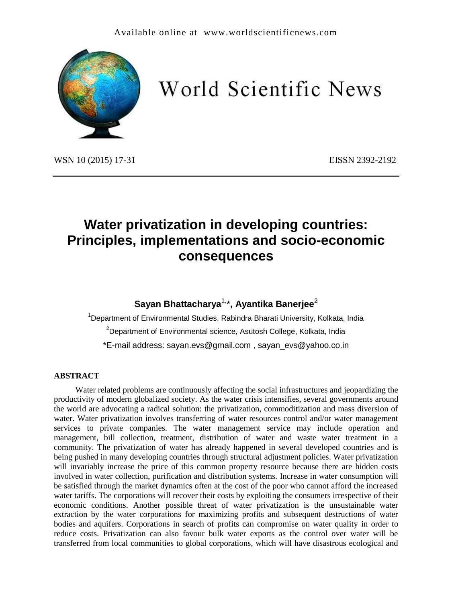

# World Scientific News

WSN 10 (2015) 17-31 **EISSN 2392-2192** 

# **Water privatization in developing countries: Principles, implementations and socio-economic consequences**

# **Sayan Bhattacharya**1,\***, Ayantika Banerjee**<sup>2</sup>

 $1$ Department of Environmental Studies, Rabindra Bharati University, Kolkata, India  $2$ Department of Environmental science, Asutosh College, Kolkata, India \*E-mail address: sayan.evs@gmail.com , sayan\_evs@yahoo.co.in

#### **ABSTRACT**

Water related problems are continuously affecting the social infrastructures and jeopardizing the productivity of modern globalized society. As the water crisis intensifies, several governments around the world are advocating a radical solution: the privatization, commoditization and mass diversion of water. Water privatization involves transferring of water resources control and/or water management services to private companies. The water management service may include operation and management, bill collection, treatment, distribution of water and waste water treatment in a community. The privatization of water has already happened in several developed countries and is being pushed in many developing countries through structural adjustment policies. Water privatization will invariably increase the price of this common property resource because there are hidden costs involved in water collection, purification and distribution systems. Increase in water consumption will be satisfied through the market dynamics often at the cost of the poor who cannot afford the increased water tariffs. The corporations will recover their costs by exploiting the consumers irrespective of their economic conditions. Another possible threat of water privatization is the unsustainable water extraction by the water corporations for maximizing profits and subsequent destructions of water bodies and aquifers. Corporations in search of profits can compromise on water quality in order to reduce costs. Privatization can also favour bulk water exports as the control over water will be transferred from local communities to global corporations, which will have disastrous ecological and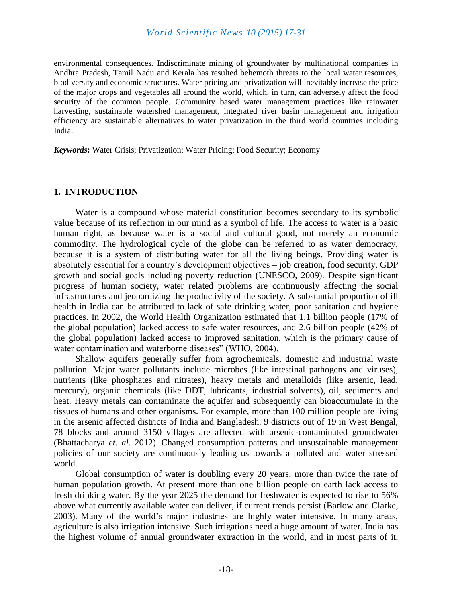environmental consequences. Indiscriminate mining of groundwater by multinational companies in Andhra Pradesh, Tamil Nadu and Kerala has resulted behemoth threats to the local water resources, biodiversity and economic structures. Water pricing and privatization will inevitably increase the price of the major crops and vegetables all around the world, which, in turn, can adversely affect the food security of the common people. Community based water management practices like rainwater harvesting, sustainable watershed management, integrated river basin management and irrigation efficiency are sustainable alternatives to water privatization in the third world countries including India.

*Keywords***:** Water Crisis; Privatization; Water Pricing; Food Security; Economy

#### **1. INTRODUCTION**

Water is a compound whose material constitution becomes secondary to its symbolic value because of its reflection in our mind as a symbol of life. The access to water is a basic human right, as because water is a social and cultural good, not merely an economic commodity. The hydrological cycle of the globe can be referred to as water democracy, because it is a system of distributing water for all the living beings. Providing water is absolutely essential for a country's development objectives – job creation, food security, GDP growth and social goals including poverty reduction (UNESCO, 2009). Despite significant progress of human society, water related problems are continuously affecting the social infrastructures and jeopardizing the productivity of the society. A substantial proportion of ill health in India can be attributed to lack of safe drinking water, poor sanitation and hygiene practices. In 2002, the World Health Organization estimated that 1.1 billion people (17% of the global population) lacked access to safe water resources, and 2.6 billion people (42% of the global population) lacked access to improved sanitation, which is the primary cause of water contamination and waterborne diseases" (WHO, 2004).

Shallow aquifers generally suffer from agrochemicals, domestic and industrial waste pollution. Major water pollutants include microbes (like intestinal pathogens and viruses), nutrients (like phosphates and nitrates), heavy metals and metalloids (like arsenic, lead, mercury), organic chemicals (like DDT, lubricants, industrial solvents), oil, sediments and heat. Heavy metals can contaminate the aquifer and subsequently can bioaccumulate in the tissues of humans and other organisms. For example, more than 100 million people are living in the arsenic affected districts of India and Bangladesh. 9 districts out of 19 in West Bengal, 78 blocks and around 3150 villages are affected with arsenic-contaminated groundwater (Bhattacharya *et. al.* 2012). Changed consumption patterns and unsustainable management policies of our society are continuously leading us towards a polluted and water stressed world.

Global consumption of water is doubling every 20 years, more than twice the rate of human population growth. At present more than one billion people on earth lack access to fresh drinking water. By the year 2025 the demand for freshwater is expected to rise to 56% above what currently available water can deliver, if current trends persist (Barlow and Clarke, 2003). Many of the world's major industries are highly water intensive. In many areas, agriculture is also irrigation intensive. Such irrigations need a huge amount of water. India has the highest volume of annual groundwater extraction in the world, and in most parts of it,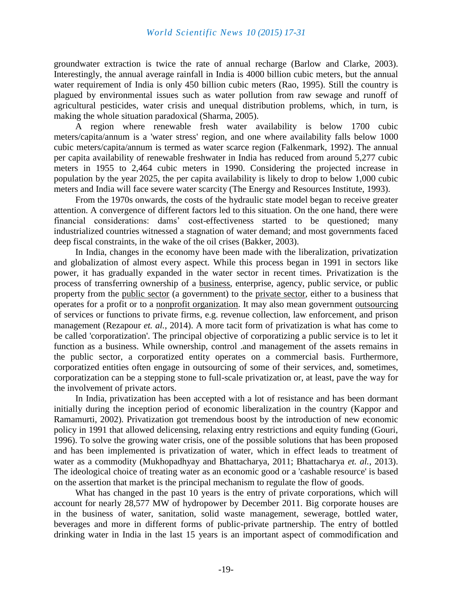groundwater extraction is twice the rate of annual recharge (Barlow and Clarke, 2003). Interestingly, the annual average rainfall in India is 4000 billion cubic meters, but the annual water requirement of India is only 450 billion cubic meters (Rao, 1995). Still the country is plagued by environmental issues such as water pollution from raw sewage and runoff of agricultural pesticides, water crisis and unequal distribution problems, which, in turn, is making the whole situation paradoxical (Sharma, 2005).

A region where renewable fresh water availability is below 1700 cubic meters/capita/annum is a 'water stress' region, and one where availability falls below 1000 cubic meters/capita/annum is termed as water scarce region (Falkenmark, 1992). The annual per capita availability of renewable freshwater in India has reduced from around 5,277 cubic meters in 1955 to 2,464 cubic meters in 1990. Considering the projected increase in population by the year 2025, the per capita availability is likely to drop to below 1,000 cubic meters and India will face severe water scarcity (The Energy and Resources Institute, 1993).

From the 1970s onwards, the costs of the hydraulic state model began to receive greater attention. A convergence of different factors led to this situation. On the one hand, there were financial considerations: dams' cost-effectiveness started to be questioned; many industrialized countries witnessed a stagnation of water demand; and most governments faced deep fiscal constraints, in the wake of the oil crises (Bakker, 2003).

In India, changes in the economy have been made with the liberalization, privatization and globalization of almost every aspect. While this process began in 1991 in sectors like power, it has gradually expanded in the water sector in recent times. Privatization is the process of transferring ownership of a [business,](http://en.wikipedia.org/wiki/Business) enterprise, agency, public service, or public property from the [public sector](http://en.wikipedia.org/wiki/Public_sector) (a government) to the [private sector,](http://en.wikipedia.org/wiki/Private_sector) either to a business that operates for a profit or to a [nonprofit organization.](http://en.wikipedia.org/wiki/Nonprofit_organization) It may also mean government [outsourcing](http://en.wikipedia.org/wiki/Outsourcing) of services or functions to private firms, e.g. revenue collection, law enforcement, and prison management (Rezapour *et. al.*, 2014). A more tacit form of privatization is what has come to be called 'corporatization'. The principal objective of corporatizing a public service is to let it function as a business. While ownership, control .and management of the assets remains in the public sector, a corporatized entity operates on a commercial basis. Furthermore, corporatized entities often engage in outsourcing of some of their services, and, sometimes, corporatization can be a stepping stone to full-scale privatization or, at least, pave the way for the involvement of private actors.

In India, privatization has been accepted with a lot of resistance and has been dormant initially during the inception period of economic liberalization in the country (Kappor and Ramamurti, 2002). Privatization got tremendous boost by the introduction of new economic policy in 1991 that allowed delicensing, relaxing entry restrictions and equity funding (Gouri, 1996). To solve the growing water crisis, one of the possible solutions that has been proposed and has been implemented is privatization of water, which in effect leads to treatment of water as a commodity (Mukhopadhyay and Bhattacharya, 2011; Bhattacharya *et. al.*, 2013). The ideological choice of treating water as an economic good or a 'cashable resource' is based on the assertion that market is the principal mechanism to regulate the flow of goods.

What has changed in the past 10 years is the entry of private corporations, which will account for nearly 28,577 MW of hydropower by December 2011. Big corporate houses are in the business of water, sanitation, solid waste management, sewerage, bottled water, beverages and more in different forms of public-private partnership. The entry of bottled drinking water in India in the last 15 years is an important aspect of commodification and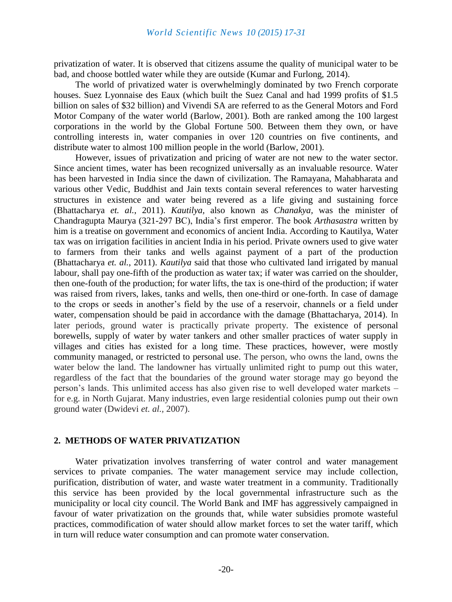privatization of water. It is observed that citizens assume the quality of municipal water to be bad, and choose bottled water while they are outside (Kumar and Furlong, 2014).

The world of privatized water is overwhelmingly dominated by two French corporate houses. Suez Lyonnaise des Eaux (which built the Suez Canal and had 1999 profits of \$1.5 billion on sales of \$32 billion) and Vivendi SA are referred to as the General Motors and Ford Motor Company of the water world (Barlow, 2001). Both are ranked among the 100 largest corporations in the world by the Global Fortune 500. Between them they own, or have controlling interests in, water companies in over 120 countries on five continents, and distribute water to almost 100 million people in the world (Barlow, 2001).

However, issues of privatization and pricing of water are not new to the water sector. Since ancient times, water has been recognized universally as an invaluable resource. Water has been harvested in India since the dawn of civilization. The Ramayana, Mahabharata and various other Vedic, Buddhist and Jain texts contain several references to water harvesting structures in existence and water being revered as a life giving and sustaining force (Bhattacharya *et. al.*, 2011). *Kautilya,* also known as *Chanakya,* was the minister of Chandragupta Maurya (321-297 BC), India's first emperor. The book *Arthasastra* written by him is a treatise on government and economics of ancient India. According to Kautilya, Water tax was on irrigation facilities in ancient India in his period. Private owners used to give water to farmers from their tanks and wells against payment of a part of the production (Bhattacharya *et. al.*, 2011). *Kautilya* said that those who cultivated land irrigated by manual labour, shall pay one-fifth of the production as water tax; if water was carried on the shoulder, then one-fouth of the production; for water lifts, the tax is one-third of the production; if water was raised from rivers, lakes, tanks and wells, then one-third or one-forth. In case of damage to the crops or seeds in another's field by the use of a reservoir, channels or a field under water, compensation should be paid in accordance with the damage (Bhattacharya, 2014). In later periods, ground water is practically private property. The existence of personal borewells, supply of water by water tankers and other smaller practices of water supply in villages and cities has existed for a long time. These practices, however, were mostly community managed, or restricted to personal use. The person, who owns the land, owns the water below the land. The landowner has virtually unlimited right to pump out this water, regardless of the fact that the boundaries of the ground water storage may go beyond the person's lands. This unlimited access has also given rise to well developed water markets – for e.g. in North Gujarat. Many industries, even large residential colonies pump out their own ground water (Dwidevi *et. al.,* 2007).

#### **2. METHODS OF WATER PRIVATIZATION**

Water privatization involves transferring of water control and water management services to private companies. The water management service may include collection, purification, distribution of water, and waste water treatment in a community. Traditionally this service has been provided by the local governmental infrastructure such as the municipality or local city council. The World Bank and IMF has aggressively campaigned in favour of water privatization on the grounds that, while water subsidies promote wasteful practices, commodification of water should allow market forces to set the water tariff, which in turn will reduce water consumption and can promote water conservation.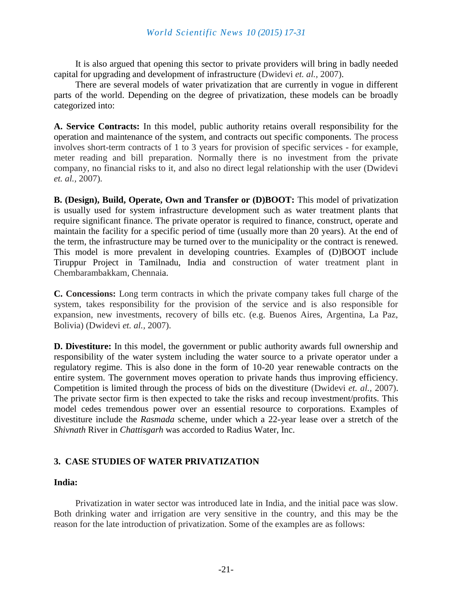It is also argued that opening this sector to private providers will bring in badly needed capital for upgrading and development of infrastructure (Dwidevi *et. al.,* 2007).

There are several models of water privatization that are currently in vogue in different parts of the world. Depending on the degree of privatization, these models can be broadly categorized into:

**A. Service Contracts:** In this model, public authority retains overall responsibility for the operation and maintenance of the system, and contracts out specific components. The process involves short-term contracts of 1 to 3 years for provision of specific services - for example, meter reading and bill preparation. Normally there is no investment from the private company, no financial risks to it, and also no direct legal relationship with the user (Dwidevi *et. al.,* 2007).

**B. (Design), Build, Operate, Own and Transfer or (D)BOOT:** This model of privatization is usually used for system infrastructure development such as water treatment plants that require significant finance. The private operator is required to finance, construct, operate and maintain the facility for a specific period of time (usually more than 20 years). At the end of the term, the infrastructure may be turned over to the municipality or the contract is renewed. This model is more prevalent in developing countries. Examples of (D)BOOT include Tiruppur Project in Tamilnadu, India and construction of water treatment plant in Chembarambakkam, Chennaia.

**C. Concessions:** Long term contracts in which the private company takes full charge of the system, takes responsibility for the provision of the service and is also responsible for expansion, new investments, recovery of bills etc. (e.g. Buenos Aires, Argentina, La Paz, Bolivia) (Dwidevi *et. al.,* 2007).

**D. Divestiture:** In this model, the government or public authority awards full ownership and responsibility of the water system including the water source to a private operator under a regulatory regime. This is also done in the form of 10-20 year renewable contracts on the entire system. The government moves operation to private hands thus improving efficiency. Competition is limited through the process of bids on the divestiture (Dwidevi *et. al.,* 2007). The private sector firm is then expected to take the risks and recoup investment/profits. This model cedes tremendous power over an essential resource to corporations. Examples of divestiture include the *Rasmada* scheme, under which a 22-year lease over a stretch of the *Shivnath* River in *Chattisgarh* was accorded to Radius Water, Inc.

# **3. CASE STUDIES OF WATER PRIVATIZATION**

#### **India:**

Privatization in water sector was introduced late in India, and the initial pace was slow. Both drinking water and irrigation are very sensitive in the country, and this may be the reason for the late introduction of privatization. Some of the examples are as follows: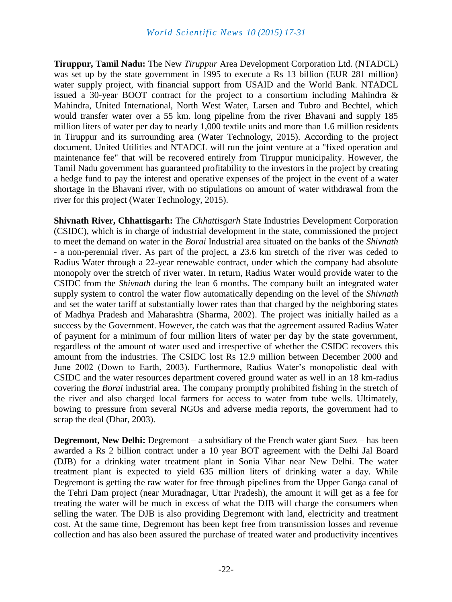**Tiruppur, Tamil Nadu:** The New *Tiruppur* Area Development Corporation Ltd. (NTADCL) was set up by the state government in 1995 to execute a Rs 13 billion (EUR 281 million) water supply project, with financial support from USAID and the World Bank. NTADCL issued a 30-year BOOT contract for the project to a consortium including Mahindra  $\&$ Mahindra, United International, North West Water, Larsen and Tubro and Bechtel, which would transfer water over a 55 km. long pipeline from the river Bhavani and supply 185 million liters of water per day to nearly 1,000 textile units and more than 1.6 million residents in Tiruppur and its surrounding area (Water Technology, 2015). According to the project document, United Utilities and NTADCL will run the joint venture at a "fixed operation and maintenance fee" that will be recovered entirely from Tiruppur municipality. However, the Tamil Nadu government has guaranteed profitability to the investors in the project by creating a hedge fund to pay the interest and operative expenses of the project in the event of a water shortage in the Bhavani river, with no stipulations on amount of water withdrawal from the river for this project (Water Technology, 2015).

**Shivnath River, Chhattisgarh:** The *Chhattisgarh* State Industries Development Corporation (CSIDC), which is in charge of industrial development in the state, commissioned the project to meet the demand on water in the *Borai* Industrial area situated on the banks of the *Shivnath* - a non-perennial river. As part of the project, a 23.6 km stretch of the river was ceded to Radius Water through a 22-year renewable contract, under which the company had absolute monopoly over the stretch of river water. In return, Radius Water would provide water to the CSIDC from the *Shivnath* during the lean 6 months. The company built an integrated water supply system to control the water flow automatically depending on the level of the *Shivnath* and set the water tariff at substantially lower rates than that charged by the neighboring states of Madhya Pradesh and Maharashtra (Sharma, 2002). The project was initially hailed as a success by the Government. However, the catch was that the agreement assured Radius Water of payment for a minimum of four million liters of water per day by the state government, regardless of the amount of water used and irrespective of whether the CSIDC recovers this amount from the industries. The CSIDC lost Rs 12.9 million between December 2000 and June 2002 (Down to Earth, 2003). Furthermore, Radius Water's monopolistic deal with CSIDC and the water resources department covered ground water as well in an 18 km-radius covering the *Borai* industrial area. The company promptly prohibited fishing in the stretch of the river and also charged local farmers for access to water from tube wells. Ultimately, bowing to pressure from several NGOs and adverse media reports, the government had to scrap the deal (Dhar, 2003).

**Degremont, New Delhi:** Degremont – a subsidiary of the French water giant Suez – has been awarded a Rs 2 billion contract under a 10 year BOT agreement with the Delhi Jal Board (DJB) for a drinking water treatment plant in Sonia Vihar near New Delhi. The water treatment plant is expected to yield 635 million liters of drinking water a day. While Degremont is getting the raw water for free through pipelines from the Upper Ganga canal of the Tehri Dam project (near Muradnagar, Uttar Pradesh), the amount it will get as a fee for treating the water will be much in excess of what the DJB will charge the consumers when selling the water. The DJB is also providing Degremont with land, electricity and treatment cost. At the same time, Degremont has been kept free from transmission losses and revenue collection and has also been assured the purchase of treated water and productivity incentives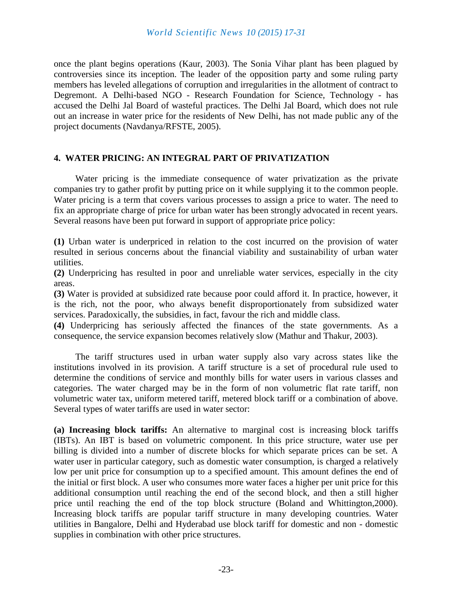once the plant begins operations (Kaur, 2003). The Sonia Vihar plant has been plagued by controversies since its inception. The leader of the opposition party and some ruling party members has leveled allegations of corruption and irregularities in the allotment of contract to Degremont. A Delhi-based NGO - Research Foundation for Science, Technology - has accused the Delhi Jal Board of wasteful practices. The Delhi Jal Board, which does not rule out an increase in water price for the residents of New Delhi, has not made public any of the project documents (Navdanya/RFSTE, 2005).

#### **4. WATER PRICING: AN INTEGRAL PART OF PRIVATIZATION**

Water pricing is the immediate consequence of water privatization as the private companies try to gather profit by putting price on it while supplying it to the common people. Water pricing is a term that covers various processes to assign a price to water. The need to fix an appropriate charge of price for urban water has been strongly advocated in recent years. Several reasons have been put forward in support of appropriate price policy:

**(1)** Urban water is underpriced in relation to the cost incurred on the provision of water resulted in serious concerns about the financial viability and sustainability of urban water utilities.

**(2)** Underpricing has resulted in poor and unreliable water services, especially in the city areas.

**(3)** Water is provided at subsidized rate because poor could afford it. In practice, however, it is the rich, not the poor, who always benefit disproportionately from subsidized water services. Paradoxically, the subsidies, in fact, favour the rich and middle class.

**(4)** Underpricing has seriously affected the finances of the state governments. As a consequence, the service expansion becomes relatively slow (Mathur and Thakur, 2003).

The tariff structures used in urban water supply also vary across states like the institutions involved in its provision. A tariff structure is a set of procedural rule used to determine the conditions of service and monthly bills for water users in various classes and categories. The water charged may be in the form of non volumetric flat rate tariff, non volumetric water tax, uniform metered tariff, metered block tariff or a combination of above. Several types of water tariffs are used in water sector:

**(a) Increasing block tariffs:** An alternative to marginal cost is increasing block tariffs (IBTs). An IBT is based on volumetric component. In this price structure, water use per billing is divided into a number of discrete blocks for which separate prices can be set. A water user in particular category, such as domestic water consumption, is charged a relatively low per unit price for consumption up to a specified amount. This amount defines the end of the initial or first block. A user who consumes more water faces a higher per unit price for this additional consumption until reaching the end of the second block, and then a still higher price until reaching the end of the top block structure (Boland and Whittington,2000). Increasing block tariffs are popular tariff structure in many developing countries. Water utilities in Bangalore, Delhi and Hyderabad use block tariff for domestic and non - domestic supplies in combination with other price structures.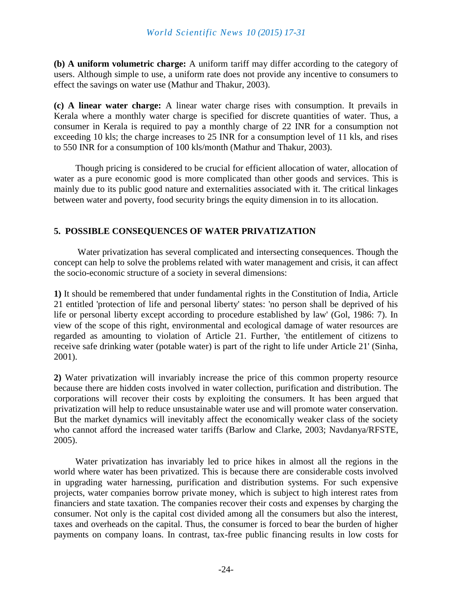**(b) A uniform volumetric charge:** A uniform tariff may differ according to the category of users. Although simple to use, a uniform rate does not provide any incentive to consumers to effect the savings on water use (Mathur and Thakur, 2003).

**(c) A linear water charge:** A linear water charge rises with consumption. It prevails in Kerala where a monthly water charge is specified for discrete quantities of water. Thus, a consumer in Kerala is required to pay a monthly charge of 22 INR for a consumption not exceeding 10 kls; the charge increases to 25 INR for a consumption level of 11 kls, and rises to 550 INR for a consumption of 100 kls/month (Mathur and Thakur, 2003).

Though pricing is considered to be crucial for efficient allocation of water, allocation of water as a pure economic good is more complicated than other goods and services. This is mainly due to its public good nature and externalities associated with it. The critical linkages between water and poverty, food security brings the equity dimension in to its allocation.

## **5. POSSIBLE CONSEQUENCES OF WATER PRIVATIZATION**

Water privatization has several complicated and intersecting consequences. Though the concept can help to solve the problems related with water management and crisis, it can affect the socio-economic structure of a society in several dimensions:

**1)** It should be remembered that under fundamental rights in the Constitution of India, Article 21 entitled 'protection of life and personal liberty' states: 'no person shall be deprived of his life or personal liberty except according to procedure established by law' (Gol, 1986: 7). In view of the scope of this right, environmental and ecological damage of water resources are regarded as amounting to violation of Article 21. Further, 'the entitlement of citizens to receive safe drinking water (potable water) is part of the right to life under Article 21' (Sinha, 2001).

**2)** Water privatization will invariably increase the price of this common property resource because there are hidden costs involved in water collection, purification and distribution. The corporations will recover their costs by exploiting the consumers. It has been argued that privatization will help to reduce unsustainable water use and will promote water conservation. But the market dynamics will inevitably affect the economically weaker class of the society who cannot afford the increased water tariffs (Barlow and Clarke, 2003; Navdanya/RFSTE, 2005).

Water privatization has invariably led to price hikes in almost all the regions in the world where water has been privatized. This is because there are considerable costs involved in upgrading water harnessing, purification and distribution systems. For such expensive projects, water companies borrow private money, which is subject to high interest rates from financiers and state taxation. The companies recover their costs and expenses by charging the consumer. Not only is the capital cost divided among all the consumers but also the interest, taxes and overheads on the capital. Thus, the consumer is forced to bear the burden of higher payments on company loans. In contrast, tax-free public financing results in low costs for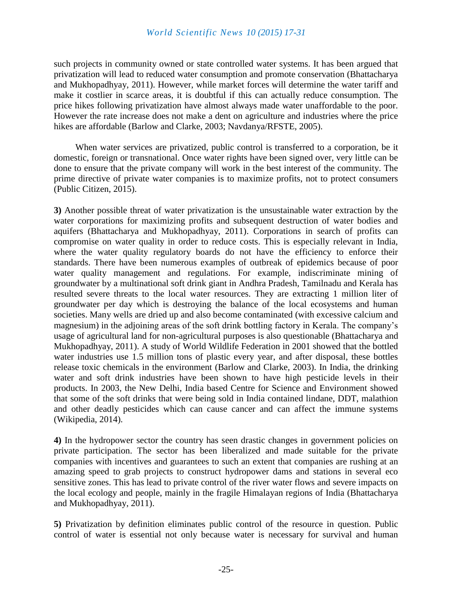such projects in community owned or state controlled water systems. It has been argued that privatization will lead to reduced water consumption and promote conservation (Bhattacharya and Mukhopadhyay, 2011). However, while market forces will determine the water tariff and make it costlier in scarce areas, it is doubtful if this can actually reduce consumption. The price hikes following privatization have almost always made water unaffordable to the poor. However the rate increase does not make a dent on agriculture and industries where the price hikes are affordable (Barlow and Clarke, 2003; Navdanya/RFSTE, 2005).

When water services are privatized, public control is transferred to a corporation, be it domestic, foreign or transnational. Once water rights have been signed over, very little can be done to ensure that the private company will work in the best interest of the community. The prime directive of private water companies is to maximize profits, not to protect consumers (Public Citizen, 2015).

**3)** Another possible threat of water privatization is the unsustainable water extraction by the water corporations for maximizing profits and subsequent destruction of water bodies and aquifers (Bhattacharya and Mukhopadhyay, 2011). Corporations in search of profits can compromise on water quality in order to reduce costs. This is especially relevant in India, where the water quality regulatory boards do not have the efficiency to enforce their standards. There have been numerous examples of outbreak of epidemics because of poor water quality management and regulations. For example, indiscriminate mining of groundwater by a multinational soft drink giant in Andhra Pradesh, Tamilnadu and Kerala has resulted severe threats to the local water resources. They are extracting 1 million liter of groundwater per day which is destroying the balance of the local ecosystems and human societies. Many wells are dried up and also become contaminated (with excessive calcium and magnesium) in the adjoining areas of the soft drink bottling factory in Kerala. The company's usage of agricultural land for non-agricultural purposes is also questionable (Bhattacharya and Mukhopadhyay, 2011). A study of World Wildlife Federation in 2001 showed that the bottled water industries use 1.5 million tons of plastic every year, and after disposal, these bottles release toxic chemicals in the environment (Barlow and Clarke, 2003). In India, the drinking water and soft drink industries have been shown to have high pesticide levels in their products. In 2003, the New Delhi, India based Centre for Science and Environment showed that some of the soft drinks that were being sold in India contained lindane, DDT, malathion and other deadly pesticides which can cause cancer and can affect the immune systems (Wikipedia, 2014).

**4)** In the hydropower sector the country has seen drastic changes in government policies on private participation. The sector has been liberalized and made suitable for the private companies with incentives and guarantees to such an extent that companies are rushing at an amazing speed to grab projects to construct hydropower dams and stations in several eco sensitive zones. This has lead to private control of the river water flows and severe impacts on the local ecology and people, mainly in the fragile Himalayan regions of India (Bhattacharya and Mukhopadhyay, 2011).

**5)** Privatization by definition eliminates public control of the resource in question. Public control of water is essential not only because water is necessary for survival and human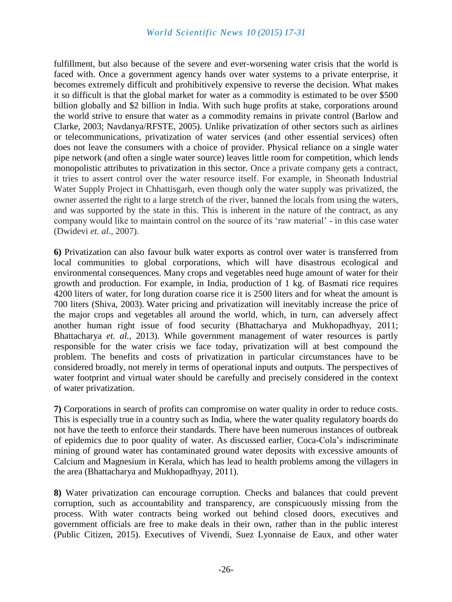fulfillment, but also because of the severe and ever-worsening water crisis that the world is faced with. Once a government agency hands over water systems to a private enterprise, it becomes extremely difficult and prohibitively expensive to reverse the decision. What makes it so difficult is that the global market for water as a commodity is estimated to be over \$500 billion globally and \$2 billion in India. With such huge profits at stake, corporations around the world strive to ensure that water as a commodity remains in private control (Barlow and Clarke, 2003; Navdanya/RFSTE, 2005). Unlike privatization of other sectors such as airlines or telecommunications, privatization of water services (and other essential services) often does not leave the consumers with a choice of provider. Physical reliance on a single water pipe network (and often a single water source) leaves little room for competition, which lends monopolistic attributes to privatization in this sector. Once a private company gets a contract, it tries to assert control over the water resource itself. For example, in Sheonath Industrial Water Supply Project in Chhattisgarh, even though only the water supply was privatized, the owner asserted the right to a large stretch of the river, banned the locals from using the waters, and was supported by the state in this. This is inherent in the nature of the contract, as any company would like to maintain control on the source of its 'raw material' - in this case water (Dwidevi *et. al.,* 2007).

**6)** Privatization can also favour bulk water exports as control over water is transferred from local communities to global corporations, which will have disastrous ecological and environmental consequences. Many crops and vegetables need huge amount of water for their growth and production. For example, in India, production of 1 kg. of Basmati rice requires 4200 liters of water, for long duration coarse rice it is 2500 liters and for wheat the amount is 700 liters (Shiva, 2003). Water pricing and privatization will inevitably increase the price of the major crops and vegetables all around the world, which, in turn, can adversely affect another human right issue of food security (Bhattacharya and Mukhopadhyay, 2011; Bhattacharya *et. al.*, 2013). While government management of water resources is partly responsible for the water crisis we face today, privatization will at best compound the problem. The benefits and costs of privatization in particular circumstances have to be considered broadly, not merely in terms of operational inputs and outputs. The perspectives of water footprint and virtual water should be carefully and precisely considered in the context of water privatization.

**7)** Corporations in search of profits can compromise on water quality in order to reduce costs. This is especially true in a country such as India, where the water quality regulatory boards do not have the teeth to enforce their standards. There have been numerous instances of outbreak of epidemics due to poor quality of water. As discussed earlier, Coca-Cola's indiscriminate mining of ground water has contaminated ground water deposits with excessive amounts of Calcium and Magnesium in Kerala, which has lead to health problems among the villagers in the area (Bhattacharya and Mukhopadhyay, 2011).

**8)** Water privatization can encourage corruption. Checks and balances that could prevent corruption, such as accountability and transparency, are conspicuously missing from the process. With water contracts being worked out behind closed doors, executives and government officials are free to make deals in their own, rather than in the public interest (Public Citizen, 2015). Executives of Vivendi, Suez Lyonnaise de Eaux, and other water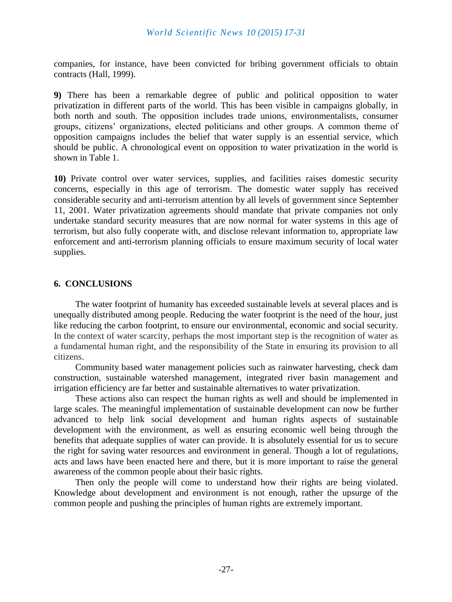companies, for instance, have been convicted for bribing government officials to obtain contracts (Hall, 1999).

**9)** There has been a remarkable degree of public and political opposition to water privatization in different parts of the world. This has been visible in campaigns globally, in both north and south. The opposition includes trade unions, environmentalists, consumer groups, citizens' organizations, elected politicians and other groups. A common theme of opposition campaigns includes the belief that water supply is an essential service, which should be public. A chronological event on opposition to water privatization in the world is shown in Table 1.

**10)** Private control over water services, supplies, and facilities raises domestic security concerns, especially in this age of terrorism. The domestic water supply has received considerable security and anti-terrorism attention by all levels of government since September 11, 2001. Water privatization agreements should mandate that private companies not only undertake standard security measures that are now normal for water systems in this age of terrorism, but also fully cooperate with, and disclose relevant information to, appropriate law enforcement and anti-terrorism planning officials to ensure maximum security of local water supplies.

## **6. CONCLUSIONS**

The water footprint of humanity has exceeded sustainable levels at several places and is unequally distributed among people. Reducing the water footprint is the need of the hour, just like reducing the carbon footprint, to ensure our environmental, economic and social security. In the context of water scarcity, perhaps the most important step is the recognition of water as a fundamental human right, and the responsibility of the State in ensuring its provision to all citizens.

Community based water management policies such as rainwater harvesting, check dam construction, sustainable watershed management, integrated river basin management and irrigation efficiency are far better and sustainable alternatives to water privatization.

These actions also can respect the human rights as well and should be implemented in large scales. The meaningful implementation of sustainable development can now be further advanced to help link social development and human rights aspects of sustainable development with the environment, as well as ensuring economic well being through the benefits that adequate supplies of water can provide. It is absolutely essential for us to secure the right for saving water resources and environment in general. Though a lot of regulations, acts and laws have been enacted here and there, but it is more important to raise the general awareness of the common people about their basic rights.

Then only the people will come to understand how their rights are being violated. Knowledge about development and environment is not enough, rather the upsurge of the common people and pushing the principles of human rights are extremely important.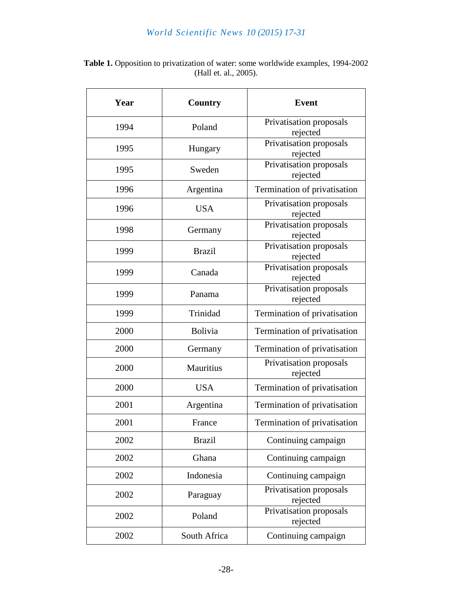| Year | <b>Country</b> | <b>Event</b>                        |
|------|----------------|-------------------------------------|
| 1994 | Poland         | Privatisation proposals<br>rejected |
| 1995 | Hungary        | Privatisation proposals<br>rejected |
| 1995 | Sweden         | Privatisation proposals<br>rejected |
| 1996 | Argentina      | Termination of privatisation        |
| 1996 | <b>USA</b>     | Privatisation proposals<br>rejected |
| 1998 | Germany        | Privatisation proposals<br>rejected |
| 1999 | <b>Brazil</b>  | Privatisation proposals<br>rejected |
| 1999 | Canada         | Privatisation proposals<br>rejected |
| 1999 | Panama         | Privatisation proposals<br>rejected |
| 1999 | Trinidad       | Termination of privatisation        |
| 2000 | <b>Bolivia</b> | Termination of privatisation        |
| 2000 | Germany        | Termination of privatisation        |
| 2000 | Mauritius      | Privatisation proposals<br>rejected |
| 2000 | <b>USA</b>     | Termination of privatisation        |
| 2001 | Argentina      | Termination of privatisation        |
| 2001 | France         | Termination of privatisation        |
| 2002 | <b>Brazil</b>  | Continuing campaign                 |
| 2002 | Ghana          | Continuing campaign                 |
| 2002 | Indonesia      | Continuing campaign                 |
| 2002 | Paraguay       | Privatisation proposals<br>rejected |
| 2002 | Poland         | Privatisation proposals<br>rejected |
| 2002 | South Africa   | Continuing campaign                 |

Table 1. Opposition to privatization of water: some worldwide examples, 1994-2002 (Hall et. al., 2005).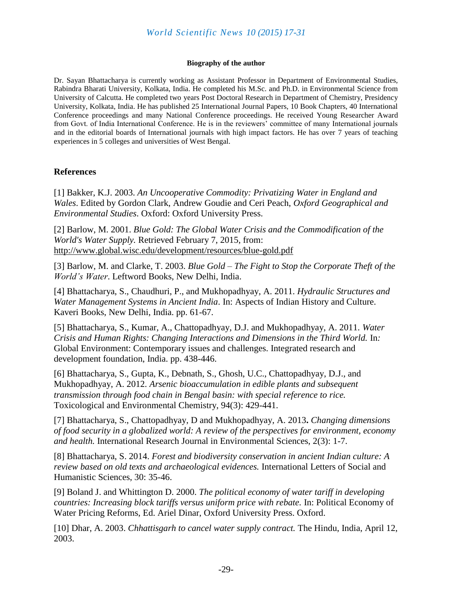#### **Biography of the author**

Dr. Sayan Bhattacharya is currently working as Assistant Professor in Department of Environmental Studies, Rabindra Bharati University, Kolkata, India. He completed his M.Sc. and Ph.D. in Environmental Science from University of Calcutta. He completed two years Post Doctoral Research in Department of Chemistry, Presidency University, Kolkata, India. He has published 25 International Journal Papers, 10 Book Chapters, 40 International Conference proceedings and many National Conference proceedings. He received Young Researcher Award from Govt. of India International Conference. He is in the reviewers' committee of many International journals and in the editorial boards of International journals with high impact factors. He has over 7 years of teaching experiences in 5 colleges and universities of West Bengal.

#### **References**

[1] Bakker, K.J. 2003. *An Uncooperative Commodity: Privatizing Water in England and Wales*. Edited by Gordon Clark, Andrew Goudie and Ceri Peach, *Oxford Geographical and Environmental Studies*. Oxford: Oxford University Press.

[2] Barlow, M. 2001. *Blue Gold: The Global Water Crisis and the Commodification of the World's Water Supply.* Retrieved February 7, 2015, from: <http://www.global.wisc.edu/development/resources/blue-gold.pdf>

[3] Barlow, M. and Clarke, T. 2003. *Blue Gold – The Fight to Stop the Corporate Theft of the World's Water*. Leftword Books, New Delhi, India.

[4] Bhattacharya, S., Chaudhuri, P., and Mukhopadhyay, A. 2011. *Hydraulic Structures and Water Management Systems in Ancient India*. In: Aspects of Indian History and Culture. Kaveri Books, New Delhi, India. pp. 61-67.

[5] Bhattacharya, S., Kumar, A., Chattopadhyay, D.J. and Mukhopadhyay, A. 2011. *Water Crisis and Human Rights: Changing Interactions and Dimensions in the Third World.* In*:*  Global Environment: Contemporary issues and challenges. Integrated research and development foundation, India. pp. 438-446.

[6] Bhattacharya, S., Gupta, K., Debnath, S., Ghosh, U.C., Chattopadhyay, D.J., and Mukhopadhyay, A. 2012*. Arsenic bioaccumulation in edible plants and subsequent transmission through food chain in Bengal basin: with special reference to rice.*  Toxicological and Environmental Chemistry, 94(3): 429-441.

[7] Bhattacharya, S., Chattopadhyay, D and Mukhopadhyay, A. 2013**.** *Changing dimensions of food security in a globalized world: A review of the perspectives for environment, economy and health.* International Research Journal in Environmental Sciences, 2(3): 1-7.

[8] Bhattacharya, S. 2014. *Forest and biodiversity conservation in ancient Indian culture: A review based on old texts and archaeological evidences.* International Letters of Social and Humanistic Sciences, 30: 35-46.

[9] Boland J. and Whittington D. 2000. *The political economy of water tariff in developing countries: Increasing block tariffs versus uniform price with rebate.* In: Political Economy of Water Pricing Reforms, Ed. Ariel Dinar, Oxford University Press. Oxford.

[10] Dhar, A. 2003. *Chhattisgarh to cancel water supply contract.* The Hindu, India, April 12, 2003.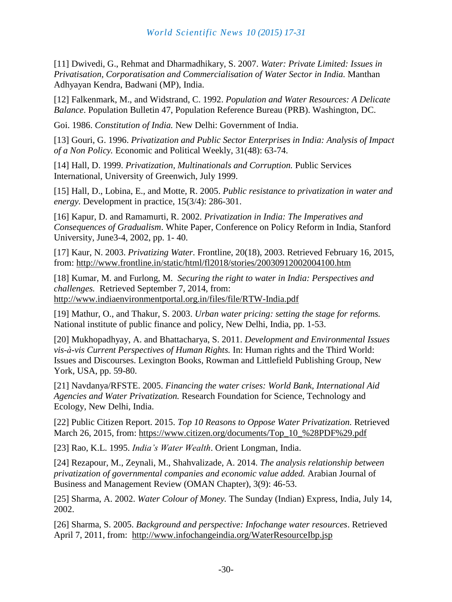[11] Dwivedi, G., Rehmat and Dharmadhikary, S. 2007. *Water: Private Limited: Issues in Privatisation, Corporatisation and Commercialisation of Water Sector in India.* Manthan Adhyayan Kendra, Badwani (MP), India.

[12] Falkenmark, M., and Widstrand, C. 1992. *Population and Water Resources: A Delicate Balance*. Population Bulletin 47, Population Reference Bureau (PRB). Washington, DC.

Goi. 1986. *Constitution of India.* New Delhi: Government of India.

[13] Gouri, G. 1996. *Privatization and Public Sector Enterprises in India: Analysis of Impact of a Non Policy.* Economic and Political Weekly, 31(48): 63-74.

[14] Hall, D. 1999. *Privatization, Multinationals and Corruption.* Public Services International, University of Greenwich, July 1999.

[15] Hall, D., Lobina, E., and Motte, R. 2005. *Public resistance to privatization in water and energy.* Development in practice, 15(3/4): 286-301.

[16] Kapur, D. and Ramamurti, R. 2002. *Privatization in India: The Imperatives and Consequences of Gradualism*. White Paper, Conference on Policy Reform in India, Stanford University, June3-4, 2002, pp. 1- 40.

[17] Kaur, N. 2003. *Privatizing Water.* Frontline, 20(18), 2003. Retrieved February 16, 2015, from:<http://www.frontline.in/static/html/fl2018/stories/20030912002004100.htm>

[18] Kumar, M. and Furlong, M. *Securing the right to water in India: Perspectives and challenges.* Retrieved September 7, 2014, from: <http://www.indiaenvironmentportal.org.in/files/file/RTW-India.pdf>

[19] Mathur, O., and Thakur, S. 2003. *Urban water pricing: setting the stage for reforms.* National institute of public finance and policy, New Delhi, India, pp. 1-53.

[20] Mukhopadhyay, A. and Bhattacharya, S. 2011. *Development and Environmental Issues vis-à-vis Current Perspectives of Human Rights.* In: Human rights and the Third World: Issues and Discourses. Lexington Books, Rowman and Littlefield Publishing Group, New York, USA, pp. 59-80.

[21] Navdanya/RFSTE. 2005. *Financing the water crises: World Bank, International Aid Agencies and Water Privatization.* Research Foundation for Science, Technology and Ecology, New Delhi, India.

[22] Public Citizen Report. 2015. *Top 10 Reasons to Oppose Water Privatization.* Retrieved March 26, 2015, from: [https://www.citizen.org/documents/Top\\_10\\_%28PDF%29.pdf](https://www.citizen.org/documents/Top_10_%28PDF%29.pdf)

[23] Rao, K.L. 1995. *India's Water Wealth*. Orient Longman, India.

[24] Rezapour, M., Zeynali, M., Shahvalizade, A. 2014. *The analysis relationship between privatization of governmental companies and economic value added.* Arabian Journal of Business and Management Review (OMAN Chapter), 3(9): 46-53.

[25] Sharma, A. 2002. *Water Colour of Money.* The Sunday (Indian) Express, India, July 14, 2002.

[26] Sharma, S. 2005. *Background and perspective: Infochange water resources*. Retrieved April 7, 2011, from: <http://www.infochangeindia.org/WaterResourceIbp.jsp>